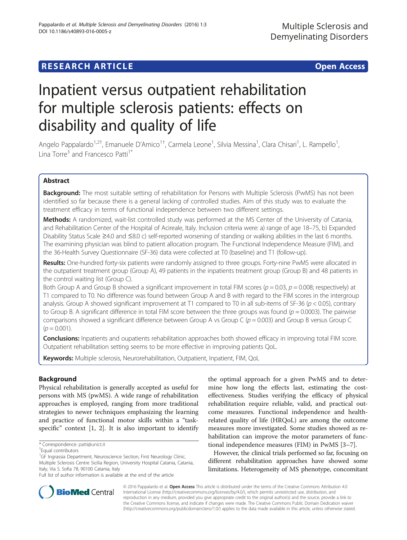## **RESEARCH ARTICLE Example 2014 CONSIDERING CONSIDERING CONSIDERING CONSIDERING CONSIDERING CONSIDERING CONSIDERING CONSIDERING CONSIDERING CONSIDERING CONSIDERING CONSIDERING CONSIDERING CONSIDERING CONSIDERING CONSIDE**

# Inpatient versus outpatient rehabilitation for multiple sclerosis patients: effects on disability and quality of life

Angelo Pappalardo<sup>1,2†</sup>, Emanuele D'Amico<sup>1†</sup>, Carmela Leone<sup>1</sup>, Silvia Messina<sup>1</sup>, Clara Chisari<sup>1</sup>, L. Rampello<sup>1</sup> , Lina Torre<sup>3</sup> and Francesco Patti<sup>1\*</sup>

### Abstract

Background: The most suitable setting of rehabilitation for Persons with Multiple Sclerosis (PwMS) has not been identified so far because there is a general lacking of controlled studies. Aim of this study was to evaluate the treatment efficacy in terms of functional independence between two different settings.

Methods: A randomized, wait-list controlled study was performed at the MS Center of the University of Catania, and Rehabilitation Center of the Hospital of Acireale, Italy. Inclusion criteria were: a) range of age 18–75, b) Expanded Disability Status Scale ≥4.0 and ≤8.0 c) self-reported worsening of standing or walking abilities in the last 6 months. The examining physician was blind to patient allocation program. The Functional Independence Measure (FIM), and the 36-Health Survey Questionnaire (SF-36) data were collected at T0 (baseline) and T1 (follow-up).

Results: One-hundred forty-six patients were randomly assigned to three groups. Forty-nine PwMS were allocated in the outpatient treatment group (Group A), 49 patients in the inpatients treatment group (Group B) and 48 patients in the control waiting list (Group C).

Both Group A and Group B showed a significant improvement in total FIM scores ( $p = 0.03$ ,  $p = 0.008$ ; respectively) at T1 compared to T0. No difference was found between Group A and B with regard to the FIM scores in the intergroup analysis. Group A showed significant improvement at T1 compared to T0 in all sub-items of SF-36 ( $p < 0.05$ ), contrary to Group B. A significant difference in total FIM score between the three groups was found ( $p = 0.0003$ ). The pairwise comparisons showed a significant difference between Group A vs Group C ( $p = 0.003$ ) and Group B versus Group C  $(p = 0.001)$ .

Conclusions: Inpatients and oupatients rehabilitation approaches both showed efficacy in improving total FIM score. Outpatient rehabilitation setting seems to be more effective in improving patients QoL.

Keywords: Multiple sclerosis, Neurorehabilitation, Outpatient, Inpatient, FIM, QoL

#### Background

Physical rehabilitation is generally accepted as useful for persons with MS (pwMS). A wide range of rehabilitation approaches is employed, ranging from more traditional strategies to newer techniques emphasizing the learning and practice of functional motor skills within a "taskspecific" context [\[1](#page-5-0), [2\]](#page-5-0). It is also important to identify the optimal approach for a given PwMS and to determine how long the effects last, estimating the costeffectiveness. Studies verifying the efficacy of physical rehabilitation require reliable, valid, and practical outcome measures. Functional independence and healthrelated quality of life (HRQoL) are among the outcome measures more investigated. Some studies showed as rehabilitation can improve the motor parameters of functional independence measures (FIM) in PwMS [[3](#page-5-0)–[7](#page-5-0)].

However, the clinical trials performed so far, focusing on different rehabilitation approaches have showed some limitations. Heterogeneity of MS phenotype, concomitant



© 2016 Pappalardo et al. Open Access This article is distributed under the terms of the Creative Commons Attribution 4.0 International License [\(http://creativecommons.org/licenses/by/4.0/](http://creativecommons.org/licenses/by/4.0/)), which permits unrestricted use, distribution, and reproduction in any medium, provided you give appropriate credit to the original author(s) and the source, provide a link to the Creative Commons license, and indicate if changes were made. The Creative Commons Public Domain Dedication waiver [\(http://creativecommons.org/publicdomain/zero/1.0/](http://creativecommons.org/publicdomain/zero/1.0/)) applies to the data made available in this article, unless otherwise stated.

<sup>\*</sup> Correspondence: [patti@unict.it](mailto:patti@unict.it) †

Equal contributors

<sup>&</sup>lt;sup>1</sup>GF Ingrassia Department, Neuroscience Section, First Neurology Clinic, Multiple Sclerosis Centre Sicilia Region, University Hospital Catania, Catania, Italy, Via S. Sofia 78, 90100 Catania, Italy

Full list of author information is available at the end of the article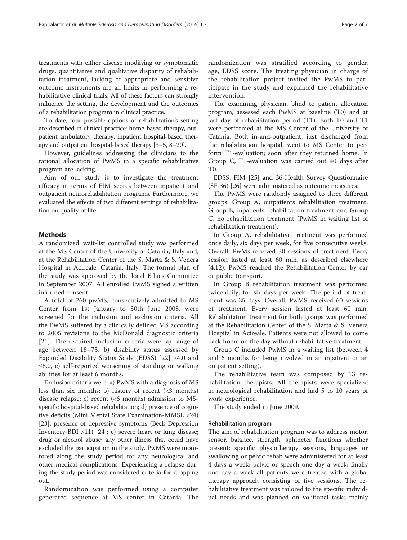treatments with either disease modifying or symptomatic drugs, quantitative and qualitative disparity of rehabilitation treatment, lacking of appropriate and sensitive outcome instruments are all limits in performing a rehabilitative clinical trials. All of these factors can strongly influence the setting, the development and the outcomes of a rehabilitation program in clinical practice.

To date, four possible options of rehabilitation's setting are described in clinical practice: home-based therapy, outpatient ambulatory therapy, inpatient hospital-based therapy and outpatient hospital-based therapy [[3](#page-5-0)–[5, 8](#page-5-0)–[20\]](#page-5-0).

However, guidelines addressing the clinicians to the rational allocation of PwMS in a specific rehabilitative program are lacking.

Aim of our study is to investigate the treatment efficacy in terms of FIM scores between inpatient and outpatient neurorehabilitation programs. Furthermore, we evaluated the effects of two different settings of rehabilitation on quality of life.

#### Methods

A randomized, wait-list controlled study was performed at the MS Center of the University of Catania, Italy and, at the Rehabilitation Center of the S. Marta & S. Venera Hospital in Acireale, Catania, Italy. The formal plan of the study was approved by the local Ethics Committee in September 2007. All enrolled PwMS signed a written informed consent.

A total of 260 pwMS, consecutively admitted to MS Center from 1st January to 30th June 2008, were screened for the inclusion and exclusion criteria. All the PwMS suffered by a clinically defined MS according to 2005 revisions to the McDonald diagnostic criteria [[21\]](#page-5-0). The required inclusion criteria were: a) range of age between 18–75, b) disability status assessed by Expanded Disability Status Scale (EDSS) [\[22](#page-5-0)] ≥4.0 and ≤8.0, c) self-reported worsening of standing or walking abilities for at least 6 months.

Exclusion criteria were: a) PwMS with a diagnosis of MS less than six months; b) history of recent  $\left( < \frac{3}{2} \right)$  months) disease relapse; c) recent (<6 months) admission to MSspecific hospital-based rehabilitation; d) presence of cognitive deficits (Mini Mental State Examination-MMSE <24) [[23](#page-5-0)]; presence of depressive symptoms (Beck Depression Inventory-BDI >11) [\[24](#page-5-0)]; e) severe heart or lung disease; drug or alcohol abuse; any other illness that could have excluded the participation in the study. PwMS were monitored along the study period for any neurological and other medical complications. Experiencing a relapse during the study period was considered criteria for dropping out.

Randomization was performed using a computer generated sequence at MS center in Catania. The

randomization was stratified according to gender, age, EDSS score. The treating physician in charge of the rehabilitation project invited the PwMS to participate in the study and explained the rehabilitative intervention.

The examining physician, blind to patient allocation program, assessed each PwMS at baseline (T0) and at last day of rehabilitation period (T1). Both T0 and T1 were performed at the MS Center of the University of Catania. Both in-and-outpatient, just discharged from the rehabilitation hospital, went to MS Center to perform T1-evaluation; soon after they returned home. In Group C, T1-evaluation was carried out 40 days after T0.

EDSS, FIM [[25\]](#page-6-0) and 36-Health Survey Questionnaire (SF-36) [[26\]](#page-6-0) were administered as outcome measures.

The PwMS were randomly assigned to three different groups: Group A, outpatients rehabilitation treatment, Group B, inpatients rehabilitation treatment and Group C, no rehabilitation treatment (PwMS in waiting list of rehabilitation treatment).

In Group A, rehabilitative treatment was performed once daily, six days per week, for five consecutive weeks. Overall, PwMs received 30 sessions of treatment. Every session lasted at least 60 min, as described elsewhere (4,12). PwMS reached the Rehabilitation Center by car or public transport.

In Group B rehabilitation treatment was performed twice-daily, for six days per week. The period of treatment was 35 days. Overall, PwMS received 60 sessions of treatment. Every session lasted at least 60 min. Rehabilitation treatment for both groups was performed at the Rehabilitation Center of the S. Marta & S. Venera Hospital in Acireale. Patients were not allowed to come back home on the day without rehabilitative treatment.

Group C included PwMS in a waiting list (between 4 and 6 months for being involved in an inpatient or an outpatient setting).

The rehabilitative team was composed by 13 rehabilitation therapists. All therapists were specialized in neurological rehabilitation and had 5 to 10 years of work experience.

The study ended in June 2009.

#### Rehabilitation program

The aim of rehabilitation program was to address motor, sensor, balance, strength, sphincter functions whether present; specific physiotherapy sessions, languages or swallowing or pelvic rehab were administered for at least 4 days a week; pelvic or speech one day a week; finally one day a week all patients were treated with a global therapy approach consisting of five sessions. The rehabilitative treatment was tailored to the specific individual needs and was planned on volitional tasks mainly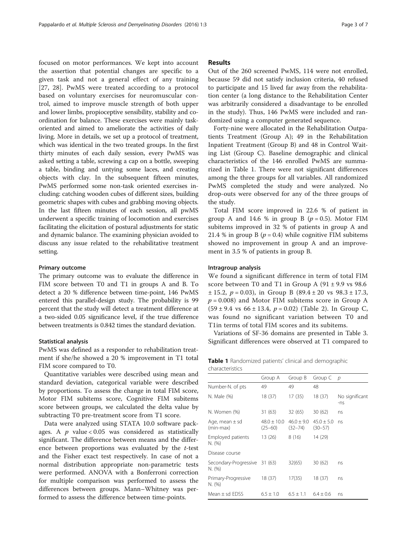focused on motor performances. We kept into account the assertion that potential changes are specific to a given task and not a general effect of any training [[27, 28\]](#page-6-0). PwMS were treated according to a protocol based on voluntary exercises for neuromuscular control, aimed to improve muscle strength of both upper and lower limbs, propioceptive sensibility, stability and coordination for balance. These exercises were mainly taskoriented and aimed to ameliorate the activities of daily living. More in details, we set up a protocol of treatment, which was identical in the two treated groups. In the first thirty minutes of each daily session, every PwMS was asked setting a table, screwing a cap on a bottle, sweeping a table, binding and untying some laces, and creating objects with clay. In the subsequent fifteen minutes, PwMS performed some non-task oriented exercises including: catching wooden cubes of different sizes, building geometric shapes with cubes and grabbing moving objects. In the last fifteen minutes of each session, all pwMS underwent a specific training of locomotion and exercises facilitating the elicitation of postural adjustments for static and dynamic balance. The examining physician avoided to discuss any issue related to the rehabilitative treatment setting.

#### Primary outcome

The primary outcome was to evaluate the difference in FIM score between T0 and T1 in groups A and B. To detect a 20 % difference between time-point, 146 PwMS entered this parallel-design study. The probability is 99 percent that the study will detect a treatment difference at a two-sided 0.05 significance level, if the true difference between treatments is 0.842 times the standard deviation.

#### Statistical analysis

PwMS was defined as a responder to rehabilitation treatment if she/he showed a 20 % improvement in T1 total FIM score compared to T0.

Quantitative variables were described using mean and standard deviation, categorical variable were described by proportions. To assess the change in total FIM score, Motor FIM subitems score, Cognitive FIM subitems score between groups, we calculated the delta value by subtracting T0 pre-treatment score from T1 score.

Data were analyzed using STATA 10.0 software packages. A  $p$  value < 0.05 was considered as statistically significant. The difference between means and the difference between proportions was evaluated by the t-test and the Fisher exact test respectively. In case of not a normal distribution appropriate non-parametric tests were performed. ANOVA with a Bonferroni correction for multiple comparison was performed to assess the differences between groups. Mann–Whitney was performed to assess the difference between time-points.

#### Results

Out of the 260 screened PwMS, 114 were not enrolled, because 59 did not satisfy inclusion criteria, 40 refused to participate and 15 lived far away from the rehabilitation center (a long distance to the Rehabilitation Center was arbitrarily considered a disadvantage to be enrolled in the study). Thus, 146 PwMS were included and randomized using a computer generated sequence.

Forty-nine were allocated in the Rehabilitation Outpatients Treatment (Group A); 49 in the Rehabilitation Inpatient Treatment (Group B) and 48 in Control Waiting List (Group C). Baseline demographic and clinical characteristics of the 146 enrolled PwMS are summarized in Table 1. There were not significant differences among the three groups for all variables. All randomized PwMS completed the study and were analyzed. No drop-outs were observed for any of the three groups of the study.

Total FIM score improved in 22.6 % of patient in group A and 14.6 % in group B ( $p = 0.5$ ). Motor FIM subitems improved in 32 % of patients in group A and 21.4 % in group B ( $p = 0.4$ ) while cognitive FIM subitems showed no improvement in group A and an improvement in 3.5 % of patients in group B.

#### Intragroup analysis

We found a significant difference in term of total FIM score between T0 and T1 in Group A  $(91 \pm 9.9 \text{ vs } 98.6$  $\pm$  15.2,  $p = 0.03$ ), in Group B (89.4  $\pm$  20 vs 98.3  $\pm$  17.3,  $p = 0.008$ ) and Motor FIM subitems score in Group A  $(59 \pm 9.4 \text{ vs } 66 \pm 13.4, p = 0.02)$  (Table [2\)](#page-3-0). In Group C, was found no significant variation between T0 and T1in terms of total FIM scores and its subitems.

Variations of SF-36 domains are presented in Table [3](#page-3-0). Significant differences were observed at T1 compared to

Table 1 Randomized patients' clinical and demographic characteristics

|                                         | Group A                        | Group B                     | Group C                     | $\mathcal{D}$           |
|-----------------------------------------|--------------------------------|-----------------------------|-----------------------------|-------------------------|
| Number-N. of pts                        | 49                             | 49                          | 48                          |                         |
| N. Male (%)                             | 18 (37)                        | 17(35)                      | 18(37)                      | No significant<br>$-ns$ |
| N. Women (%)                            | 31(63)                         | 32 (65)                     | 30(62)                      | ns                      |
| Age, mean $\pm$ sd<br>(min-max)         | $48.0 \pm 10.0$<br>$(25 - 60)$ | $46.0 + 9.0$<br>$(32 - 74)$ | $45.0 + 5.0$<br>$(30 - 57)$ | ns                      |
| Employed patients<br>N. (%)             | 13 (26)                        | 8 (16)                      | 14 (29)                     |                         |
| Disease course                          |                                |                             |                             |                         |
| Secondary-Progressive 31 (63)<br>N. (%) |                                | 32(65)                      | 30(62)                      | ns                      |
| Primary-Progressive<br>N. (%)           | 18 (37)                        | 17(35)                      | 18 (37)                     | ns                      |
| Mean + sd FDSS                          | $6.5 + 1.0$                    | $6.5 + 1.1$                 | $6.4 + 0.6$                 | ns                      |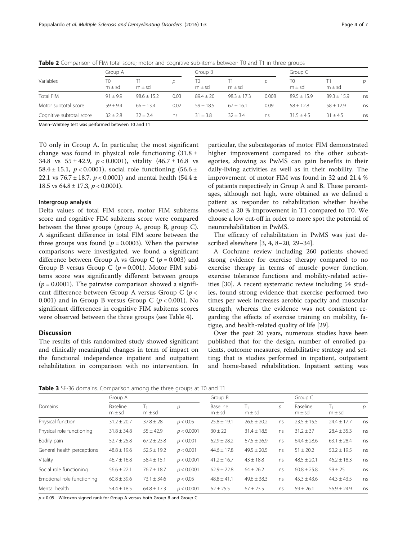|                          | Group A        |               |      |                | Group B       |       |                | Group C       |    |  |
|--------------------------|----------------|---------------|------|----------------|---------------|-------|----------------|---------------|----|--|
| Variables                | T0<br>$m + sd$ | $m + sd$      | n    | TO<br>$m + sd$ | $m + sd$      | D     | TO<br>$m + sd$ | $m \pm sd$    |    |  |
| <b>Total FIM</b>         | $91 \pm 9.9$   | $98.6 + 15.2$ | 0.03 | $89.4 \pm 20$  | $98.3 + 17.3$ | 0.008 | $89.5 + 15.9$  | $89.3 + 15.9$ | ns |  |
| Motor subtotal score     | $59 + 9.4$     | $66 + 13.4$   | 0.02 | $59 + 18.5$    | $67 + 16.1$   | 0.09  | $58 + 12.8$    | $58 + 12.9$   | ns |  |
| Cognitive subtotal score | $32 \pm 2.8$   | $32 \pm 2.4$  | ns   | $31 \pm 3.8$   | $32 + 34$     | ns    | $31.5 + 4.5$   | $31 + 4.5$    | ns |  |

<span id="page-3-0"></span>Table 2 Comparison of FIM total score; motor and cognitive sub-items between T0 and T1 in three groups

Mann–Whitney test was performed between T0 and T1

T0 only in Group A. In particular, the most significant change was found in physical role functioning  $(31.8 \pm$ 34.8 vs  $55 \pm 42.9$ ,  $p < 0.0001$ ), vitality  $(46.7 \pm 16.8 \text{ vs }$ 58.4 ± 15.1,  $p < 0.0001$ ), social role functioning (56.6 ± 22.1 vs  $76.7 \pm 18.7$ ,  $p < 0.0001$ ) and mental health  $(54.4 \pm 1.0001)$ 18.5 vs  $64.8 \pm 17.3$ ,  $p < 0.0001$ ).

#### Intergroup analysis

Delta values of total FIM score, motor FIM subitems score and cognitive FIM subitems score were compared between the three groups (group A, group B, group C). A significant difference in total FIM score between the three groups was found ( $p = 0.0003$ ). When the pairwise comparisons were investigated, we found a significant difference between Group A vs Group C ( $p = 0.003$ ) and Group B versus Group C ( $p = 0.001$ ). Motor FIM subitems score was significantly different between groups  $(p = 0.0001)$ . The pairwise comparison showed a significant difference between Group A versus Group C ( $p$  < 0.001) and in Group B versus Group C  $(p < 0.001)$ . No significant differences in cognitive FIM subitems scores were observed between the three groups (see Table [4\)](#page-4-0).

#### Discussion

The results of this randomized study showed significant and clinically meaningful changes in term of impact on the functional independence inpatient and outpatient rehabilitation in comparison with no intervention. In

particular, the subcategories of motor FIM demonstrated higher improvement compared to the other subcategories, showing as PwMS can gain benefits in their daily-living activities as well as in their mobility. The improvement of motor FIM was found in 32 and 21.4 % of patients respectively in Group A and B. These percentages, although not high, were obtained as we defined a patient as responder to rehabilitation whether he/she showed a 20 % improvement in T1 compared to T0. We choose a low cut-off in order to more spot the potential of neurorehabilitation in PwMS.

The efficacy of rehabilitation in PwMS was just described elsewhere [[3, 4, 8](#page-5-0)–[20](#page-5-0), [29](#page-6-0)–[34\]](#page-6-0).

A Cochrane review including 260 patients showed strong evidence for exercise therapy compared to no exercise therapy in terms of muscle power function, exercise tolerance functions and mobility-related activities [[30\]](#page-6-0). A recent systematic review including 54 studies, found strong evidence that exercise performed two times per week increases aerobic capacity and muscular strength, whereas the evidence was not consistent regarding the effects of exercise training on mobility, fatigue, and health-related quality of life [\[29](#page-6-0)].

Over the past 20 years, numerous studies have been published that for the design, number of enrolled patients, outcome measures, rehabilitative strategy and setting; that is studies performed in inpatient, outpatient and home-based rehabilitation. Inpatient setting was

Table 3 SF-36 domains. Comparison among the three groups at T0 and T1

|                            | Group A                |                  |            | Group B                |                              |    | Group C                |                  |    |
|----------------------------|------------------------|------------------|------------|------------------------|------------------------------|----|------------------------|------------------|----|
| Domains                    | Baseline<br>$m \pm sd$ | T,<br>$m \pm sd$ | D          | Baseline<br>$m \pm sd$ | T <sub>1</sub><br>$m \pm sd$ | D  | Baseline<br>$m \pm sd$ | T.<br>$m \pm sd$ | р  |
| Physical function          | $31.2 \pm 20.7$        | $37.8 \pm 28$    | p < 0.05   | $25.8 \pm 19.1$        | $26.6 \pm 20.2$              | ns | $23.5 \pm 15.5$        | $24.4 \pm 17.7$  | ns |
| Physical role functioning  | $31.8 \pm 34.8$        | $55 \pm 42.9$    | p < 0.0001 | $30 \pm 22$            | $31.4 \pm 18.5$              | ns | $31.2 \pm 37$          | $28.4 \pm 35.3$  | ns |
| Bodily pain                | $52.7 \pm 25.8$        | $67.2 \pm 23.8$  | p < 0.001  | $62.9 \pm 28.2$        | $67.5 \pm 26.9$              | ns | $64.4 \pm 28.6$        | $63.1 \pm 28.4$  | ns |
| General health perceptions | $48.8 \pm 19.6$        | $52.5 \pm 19.2$  | p < 0.001  | $44.6 \pm 17.8$        | $49.5 \pm 20.5$              | ns | $51 \pm 20.2$          | $50.2 \pm 19.5$  | ns |
| Vitality                   | $46.7 \pm 16.8$        | $58.4 \pm 15.1$  | p < 0.0001 | $41.2 \pm 16.7$        | $43 \pm 18.8$                | ns | $48.5 \pm 20.1$        | $46.2 \pm 18.3$  | ns |
| Social role functioning    | $56.6 \pm 22.1$        | $76.7 \pm 18.7$  | p < 0.0001 | $62.9 \pm 22.8$        | $64 \pm 26.2$                | ns | $60.8 \pm 25.8$        | $59 \pm 25$      | ns |
| Emotional role functioning | $60.8 \pm 39.6$        | $73.1 \pm 34.6$  | p < 0.05   | $48.8 \pm 41.1$        | $49.6 \pm 38.3$              | ns | $45.3 \pm 43.6$        | $44.3 \pm 43.5$  | ns |
| Mental health              | $54.4 \pm 18.5$        | $64.8 \pm 17.3$  | p < 0.0001 | $62 \pm 25.5$          | $67 \pm 23.5$                | ns | $59 \pm 26.1$          | $56.9 \pm 24.9$  | ns |

p < 0.05 - Wilcoxon signed rank for Group A versus both Group B and Group C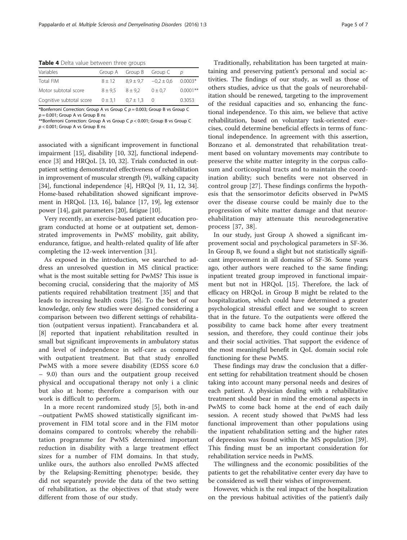<span id="page-4-0"></span>Table 4 Delta value between three groups

| Variables                |             | Group A Group B Group C |                                      |            |
|--------------------------|-------------|-------------------------|--------------------------------------|------------|
| <b>Total FIM</b>         | $8 + 12$    |                         | $8.9 \pm 9.7$ $-0.2 \pm 0.6$ 0.0003* |            |
| Motor subtotal score     | $8 + 9.5$   | $8 \pm 9.2$             | $0 \pm 0.7$                          | $0.0001**$ |
| Cognitive subtotal score | $0 \pm 3.1$ | $0.7 \pm 1.3$           | $\bigcirc$                           | 0.3053     |

\*Bonferroni Correction: Group A vs Group C  $p = 0.003$ ; Group B vs Group C

 $p = 0.001$ ; Group A vs Group B ns

\*\*Bonferroni Correction: Group A vs Group C  $p < 0.001$ ; Group B vs Group C p < 0.001; Group A vs Group B ns

associated with a significant improvement in functional impairment [\[15](#page-5-0)], disability [\[10](#page-5-0), [32\]](#page-6-0), functional independence [\[3](#page-5-0)] and HRQoL [\[3](#page-5-0), [10](#page-5-0), [32](#page-6-0)]. Trials conducted in outpatient setting demonstrated effectiveness of rehabilitation in improvement of muscular strength (9), walking capacity [[34](#page-6-0)], functional independence [[4\]](#page-5-0), HRQol [[9, 11](#page-5-0), [12,](#page-5-0) [34](#page-6-0)]. Home-based rehabilitation showed significant improvement in HRQoL [[13, 16\]](#page-5-0), balance [[17](#page-5-0), [19](#page-5-0)], leg extensor power [\[14\]](#page-5-0), gait parameters [[20\]](#page-5-0), fatigue [[10](#page-5-0)].

Very recently, an exercise-based patient education program conducted at home or at outpatient set, demonstrated improvements in PwMS' mobility, gait ability, endurance, fatigue, and health-related quality of life after completing the 12-week intervention [\[31](#page-6-0)].

As exposed in the introduction, we searched to address an unresolved question in MS clinical practice: what is the most suitable setting for PwMS? This issue is becoming crucial, considering that the majority of MS patients required rehabilitation treatment [[35\]](#page-6-0) and that leads to increasing health costs [[36\]](#page-6-0). To the best of our knowledge, only few studies were designed considering a comparison between two different settings of rehabilitation (outpatient versus inpatient). Francabandera et al. [[8\]](#page-5-0) reported that inpatient rehabilitation resulted in small but significant improvements in ambulatory status and level of independence in self-care as compared with outpatient treatment. But that study enrolled PwMS with a more severe disability (EDSS score 6.0 – 9.0) than ours and the outpatient group received physical and occupational therapy not only i a clinic but also at home; therefore a comparison with our work is difficult to perform.

In a more recent randomized study [[5\]](#page-5-0), both in-and –outpatient PwMS showed statistically significant improvement in FIM total score and in the FIM motor domains compared to controls; whereby the rehabilitation programme for PwMS determined important reduction in disability with a large treatment effect sizes for a number of FIM domains. In that study, unlike ours, the authors also enrolled PwMS affected by the Relapsing-Remitting phenotype; beside, they did not separately provide the data of the two setting of rehabilitation, as the objectives of that study were different from those of our study.

Traditionally, rehabilitation has been targeted at maintaining and preserving patient's personal and social activities. The findings of our study, as well as those of others studies, advice us that the goals of neurorehabilitation should be renewed, targeting to the improvement of the residual capacities and so, enhancing the functional independence. To this aim, we believe that active rehabilitation, based on voluntary task-oriented exercises, could determine beneficial effects in terms of functional independence. In agreement with this assertion, Bonzano et al. demonstrated that rehabilitation treatment based on voluntary movements may contribute to preserve the white matter integrity in the corpus callosum and corticospinal tracts and to maintain the coordination ability; such benefits were not observed in control group [\[27](#page-6-0)]. These findings confirms the hypothesis that the sensorimotor deficits observed in PwMS over the disease course could be mainly due to the progression of white matter damage and that neurorehabilitation may attenuate this neurodegenerative process [[37, 38](#page-6-0)].

In our study, just Group A showed a significant improvement social and psychological parameters in SF-36. In Group B, we found a slight but not statistically significant improvement in all domains of SF-36. Some years ago, other authors were reached to the same finding; inpatient treated group improved in functional impairment but not in HRQoL [[15](#page-5-0)]. Therefore, the lack of efficacy on HRQoL in Group B might be related to the hospitalization, which could have determined a greater psychological stressful effect and we sought to screen that in the future. To the outpatients were offered the possibility to came back home after every treatment session, and therefore, they could continue their jobs and their social activities. That support the evidence of the most meaningful benefit in QoL domain social role functioning for these PwMS.

These findings may draw the conclusion that a different setting for rehabilitation treatment should be chosen taking into account many personal needs and desires of each patient. A physician dealing with a rehabilitative treatment should bear in mind the emotional aspects in PwMS to come back home at the end of each daily session. A recent study showed that PwMS had less functional improvement than other populations using the inpatient rehabilitation setting and the higher rates of depression was found within the MS population [\[39](#page-6-0)]. This finding must be an important consideration for rehabilitation service needs in PwMS.

The willingness and the economic possibilities of the patients to get the rehabilitative center every day have to be considered as well their wishes of improvement.

However, which is the real impact of the hospitalization on the previous habitual activities of the patient's daily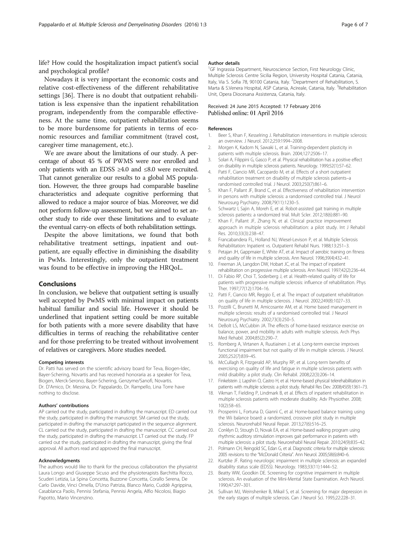<span id="page-5-0"></span>life? How could the hospitalization impact patient's social and psychological profile?

Nowadays it is very important the economic costs and relative cost-effectiveness of the different rehabilitative settings [\[36](#page-6-0)]. There is no doubt that outpatient rehabilitation is less expensive than the inpatient rehabilitation program, independently from the comparable effectiveness. At the same time, outpatient rehabilitation seems to be more burdensome for patients in terms of economic resources and familiar commitment (travel cost, caregiver time management, etc.).

We are aware about the limitations of our study. A percentage of about 45 % of PWMS were nor enrolled and only patients with an EDSS ≥4.0 and ≤8.0 were recruited. That cannot generalize our results to a global MS population. However, the three groups had comparable baseline characteristics and adequate cognitive performing that allowed to reduce a major source of bias. Moreover, we did not perform follow-up assessment, but we aimed to set another study to ride over these limitations and to evaluate the eventual carry-on effects of both rehabilitation settings.

Despite the above limitations, we found that both rehabilitative treatment settings, inpatient and outpatient, are equally effective in diminishing the disability in PwMs. Interestingly, only the outpatient treatment was found to be effective in improving the HRQoL.

#### Conclusions

In conclusion, we believe that outpatient setting is usually well accepted by PwMS with minimal impact on patients habitual familiar and social life. However it should be underlined that inpatient setting could be more suitable for both patients with a more severe disability that have difficulties in terms of reaching the rehabilitative center and for those preferring to be treated without involvement of relatives or caregivers. More studies needed.

#### Competing interests

Dr. Patti has served on the scientific advisory board for Teva, Biogen-Idec, Bayer-Schering, Novartis and has received honoraria as a speaker for Teva, Biogen, Merck-Serono, Bayer-Schering, Genzyme/Sanofi, Novartis. Dr. D'Amico, Dr. Messina, Dr. Pappalardo, Dr. Rampello, Lina Torre have nothing to disclose.

#### Authors' contributions

AP carried out the study, participated in drafting the manuscript. ED carried out the study, participated in drafting the manuscript. SM carried out the study, participated in drafting the manuscript participated in the sequence alignment. CL carried out the study, participated in drafting the manuscript. CC carried out the study, participated in drafting the manuscript. LT carried out the study. FP carried out the study, participated in drafting the manuscript, giving the final approval. All authors read and approved the final manuscript.

#### Acknowledgments

The authors would like to thank for the precious collaboration the physiatrist Laura Longo and Giuseppe Sicuso and the physioterapists Barchitta Rocco, Scuderi Letizia, La Spina Concetta, Buzzone Concetta, Corallo Serena, De Carlo Davide, Vinci Ornella, D'Urso Patrizia, Blanco Mario, Cuddè Agrippina, Casablanca Paolo, Pennisi Stefania, Pennisi Angela, Alfio Nicolosi, Biagio Papotto, Mario Vincenzino.

#### Author details

<sup>1</sup>GF Ingrassia Department, Neuroscience Section, First Neurology Clinic, Multiple Sclerosis Centre Sicilia Region, University Hospital Catania, Catania, Italy, Via S. Sofia 78, 90100 Catania, Italy. <sup>2</sup>Department of Rehabilitation, S. Marta & S.Venera Hospital, ASP Catania, Acireale, Catania, Italy. <sup>3</sup>Rehabilitation Unit, Opera Diocesana Assistenza, Catania, Italy.

#### Received: 24 June 2015 Accepted: 17 February 2016 Published online: 01 April 2016

#### References

- 1. Beer S, Khan F, Kesselring J. Rehabilitation interventions in multiple sclerosis: an overview. J Neurol. 2012;259:1994–2008.
- 2. Morgen K, Kadom N, Sawaki L, et al. Training-dependent plasticity in patients with multiple sclerosis. Brain. 2004;127:2506–17.
- 3. Solari A, Filippini G, Gasco P, et al. Physical rehabilitation has a positive effect on disability in multiple sclerosis patients. Neurology. 1999;52(1):57–62.
- 4. Patti F, Ciancio MR, Cacopardo M, et al. Effects of a short outpatient rehabilitation treatment on disability of multiple sclerosis patients–a randomised controlled trial. J Neurol. 2003;250(7):861–6.
- 5. Khan F, Pallant JF, Brand C, et al. Effectiveness of rehabilitation intervention in persons with multiple sclerosis: a randomised controlled trial. J Neurol Neurosurg Psychiatry. 2008;79(11):1230–5.
- 6. Schwartz I, Sajin A, Moreh E, et al. Robot-assisted gait training in multiple sclerosis patients: a randomized trial. Mult Scler. 2012;18(6):881–90.
- 7. Khan F, Pallant JF, Zhang N, et al. Clinical practice improvement approach in multiple sclerosis rehabilitation: a pilot study. Int J Rehabil Res. 2010;33(3):238–47.
- 8. Francabandera FL, Holland NJ, Wiesel-Levison P, et al. Multiple Sclerosis Rehabilitation: Inpatient vs. Outpatient Rehabil Nurs. 1988;13:251–3.
- 9. Petajan JH, Gappmaier E, White AT, et al. Impact of aerobic training on fitness and quality of life in multiple sclerosis. Ann Neurol. 1996;39(4):432–41.
- 10. Freeman JA, Langdon DW, Hobart JC, et al. The impact of inpatient rehabilitation on progressive multiple sclerosis. Ann Neurol. 1997;42(2):236–44.
- 11. Di Fabio RP, Choi T, Soderberg J, et al. Health-related quality of life for patients with progressive multiple sclerosis: influence of rehabilitation. Phys Ther. 1997;77(12):1704–16.
- 12. Patti F, Ciancio MR, Reggio E, et al. The impact of outpatient rehabilitation on quality of life in multiple sclerosis. J Neurol. 2002;249(8):1027–33.
- 13. Pozzilli C, Brunetti M, Amicosante AM, et al. Home based management in multiple sclerosis: results of a randomised controlled trial. J Neurol Neurosurg Psychiatry. 2002;73(3):250–5.
- 14. DeBolt LS, McCubbin JA. The effects of home-based resistance exercise on balance, power, and mobility in adults with multiple sclerosis. Arch Phys Med Rehabil. 2004;85(2):290–7.
- 15. Romberg A, Virtanen A, Ruutiainen J, et al. Long-term exercise improves functional impairment but not quality of life in multiple sclerosis. J Neurol. 2005;252(7):839–45.
- 16. McCullagh R, Fitzgerald AP, Murphy RP, et al. Long-term benefits of exercising on quality of life and fatigue in multiple sclerosis patients with mild disability: a pilot study. Clin Rehabil. 2008;22(3):206–14.
- 17. Finkelstein J, Lapshin O, Castro H, et al. Home-based physical telerehabilitation in patients with multiple sclerosis: a pilot study. Rehabil Res Dev. 2008;45(9):1361–73.
- 18. Vikman T, Fielding P, Lindmark B, et al. Effects of inpatient rehabilitation in multiple sclerosis patients with moderate disability. Adv Physiother. 2008; 10(2):58–65.
- 19. Prosperini L, Fortuna D, Giannì C, et al. Home-based balance training using the Wii balance board: a randomized, crossover pilot study in multiple sclerosis. Neurorehabil Neural Repair. 2013;27(6):516–25.
- 20. Conklyn D, Stough D, Novak EA, et al. Home-based walking program using rhythmic auditory stimulation improves gait performance in patients with multiple sclerosis: a pilot study. Neurorehabil Neural Repair. 2010;24(9):835–42.
- 21. Polmann CH, Reingold SC, Edan G, et al. Diagnostic criteria for multiple sclerosis: 2005 revisions to the "McDonald Criteria". Ann Neurol. 2005;58(6):840–6.
- 22. Kurtzke JF. Rating neurologic impairment in multiple sclerosis: an expanded disability status scale (EDSS). Neurology. 1983;33(11):1444–52.
- 23. Beatty WW, Goodkin DE. Screening for cognitive impairment in multiple sclerosis. An evaluation of the Mini-Mental State Examination. Arch Neurol. 1990;47:297–301.
- 24. Sullivan MJ, Weinshenker B, Mikail S, et al. Screening for major depression in the early stages of multiple sclerosis. Can J Neurol Sci. 1995;22:228–31.